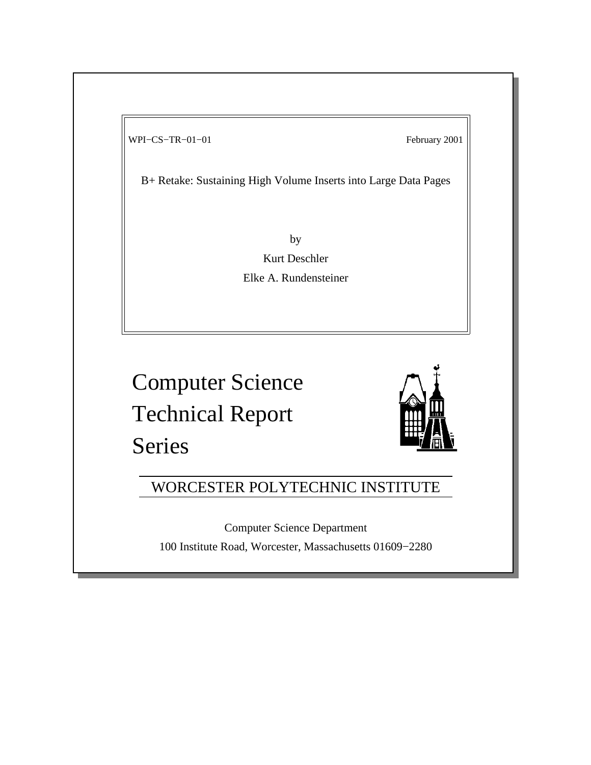WPI–CS–TR–01–01 February 2001

B+ Retake: Sustaining High Volume Inserts into Large Data Pages

by Kurt Deschler Elke A. Rundensteiner

Computer Science Technical Report Series



# WORCESTER POLYTECHNIC INSTITUTE

Computer Science Department 100 Institute Road, Worcester, Massachusetts 01609−2280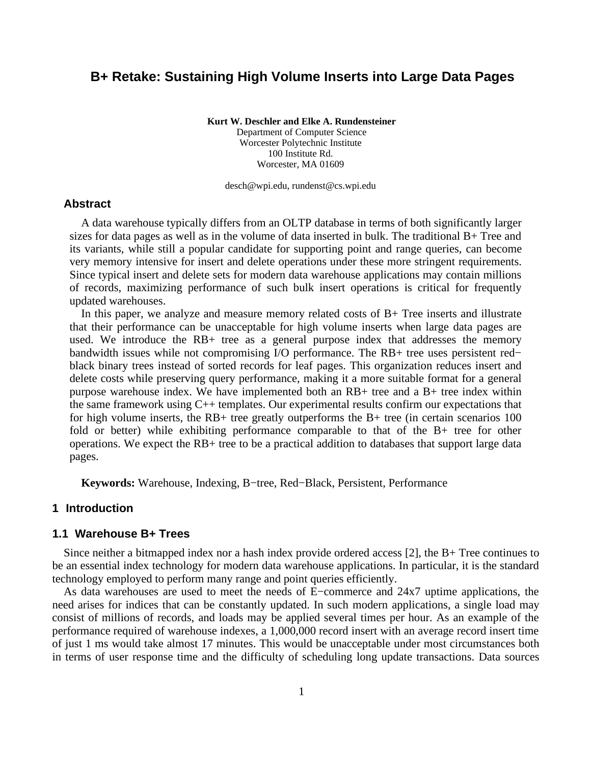# **B+ Retake: Sustaining High Volume Inserts into Large Data Pages**

**Kurt W. Deschler and Elke A. Rundensteiner**

Department of Computer Science Worcester Polytechnic Institute 100 Institute Rd. Worcester, MA 01609

desch@wpi.edu, rundenst@cs.wpi.edu

#### **Abstract**

A data warehouse typically differs from an OLTP database in terms of both significantly larger sizes for data pages as well as in the volume of data inserted in bulk. The traditional B+ Tree and its variants, while still a popular candidate for supporting point and range queries, can become very memory intensive for insert and delete operations under these more stringent requirements. Since typical insert and delete sets for modern data warehouse applications may contain millions of records, maximizing performance of such bulk insert operations is critical for frequently updated warehouses.

In this paper, we analyze and measure memory related costs of  $B+$  Tree inserts and illustrate that their performance can be unacceptable for high volume inserts when large data pages are used. We introduce the RB+ tree as a general purpose index that addresses the memory bandwidth issues while not compromising I/O performance. The RB+ tree uses persistent red− black binary trees instead of sorted records for leaf pages. This organization reduces insert and delete costs while preserving query performance, making it a more suitable format for a general purpose warehouse index. We have implemented both an RB+ tree and a B+ tree index within the same framework using C++ templates. Our experimental results confirm our expectations that for high volume inserts, the RB+ tree greatly outperforms the B+ tree (in certain scenarios 100 fold or better) while exhibiting performance comparable to that of the B+ tree for other operations. We expect the RB+ tree to be a practical addition to databases that support large data pages.

**Keywords:** Warehouse, Indexing, B−tree, Red−Black, Persistent, Performance

#### **1 Introduction**

#### **1.1 Warehouse B+ Trees**

Since neither a bitmapped index nor a hash index provide ordered access [2], the B+ Tree continues to be an essential index technology for modern data warehouse applications. In particular, it is the standard technology employed to perform many range and point queries efficiently.

As data warehouses are used to meet the needs of E−commerce and 24x7 uptime applications, the need arises for indices that can be constantly updated. In such modern applications, a single load may consist of millions of records, and loads may be applied several times per hour. As an example of the performance required of warehouse indexes, a 1,000,000 record insert with an average record insert time of just 1 ms would take almost 17 minutes. This would be unacceptable under most circumstances both in terms of user response time and the difficulty of scheduling long update transactions. Data sources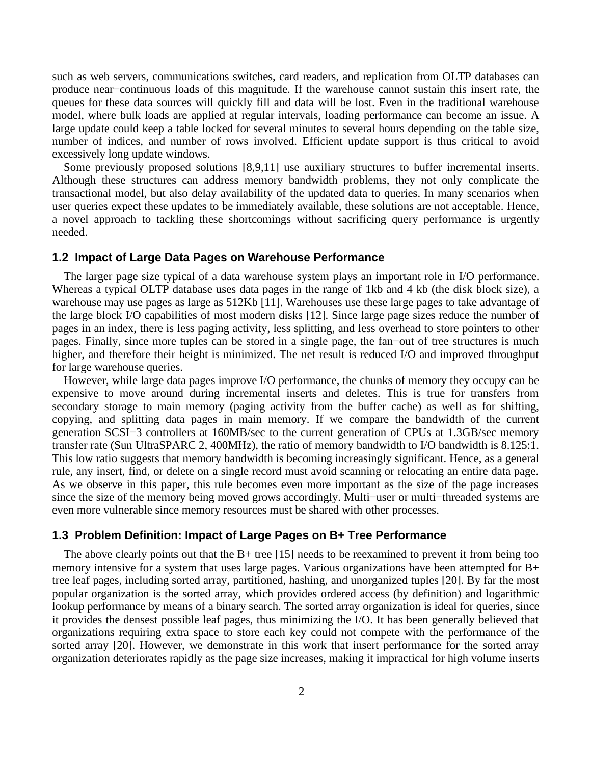such as web servers, communications switches, card readers, and replication from OLTP databases can produce near−continuous loads of this magnitude. If the warehouse cannot sustain this insert rate, the queues for these data sources will quickly fill and data will be lost. Even in the traditional warehouse model, where bulk loads are applied at regular intervals, loading performance can become an issue. A large update could keep a table locked for several minutes to several hours depending on the table size, number of indices, and number of rows involved. Efficient update support is thus critical to avoid excessively long update windows.

Some previously proposed solutions [8,9,11] use auxiliary structures to buffer incremental inserts. Although these structures can address memory bandwidth problems, they not only complicate the transactional model, but also delay availability of the updated data to queries. In many scenarios when user queries expect these updates to be immediately available, these solutions are not acceptable. Hence, a novel approach to tackling these shortcomings without sacrificing query performance is urgently needed.

#### **1.2 Impact of Large Data Pages on Warehouse Performance**

The larger page size typical of a data warehouse system plays an important role in I/O performance. Whereas a typical OLTP database uses data pages in the range of 1kb and 4 kb (the disk block size), a warehouse may use pages as large as 512Kb [11]. Warehouses use these large pages to take advantage of the large block I/O capabilities of most modern disks [12]. Since large page sizes reduce the number of pages in an index, there is less paging activity, less splitting, and less overhead to store pointers to other pages. Finally, since more tuples can be stored in a single page, the fan−out of tree structures is much higher, and therefore their height is minimized. The net result is reduced I/O and improved throughput for large warehouse queries.

However, while large data pages improve I/O performance, the chunks of memory they occupy can be expensive to move around during incremental inserts and deletes. This is true for transfers from secondary storage to main memory (paging activity from the buffer cache) as well as for shifting, copying, and splitting data pages in main memory. If we compare the bandwidth of the current generation SCSI−3 controllers at 160MB/sec to the current generation of CPUs at 1.3GB/sec memory transfer rate (Sun UltraSPARC 2, 400MHz), the ratio of memory bandwidth to I/O bandwidth is 8.125:1. This low ratio suggests that memory bandwidth is becoming increasingly significant. Hence, as a general rule, any insert, find, or delete on a single record must avoid scanning or relocating an entire data page. As we observe in this paper, this rule becomes even more important as the size of the page increases since the size of the memory being moved grows accordingly. Multi−user or multi−threaded systems are even more vulnerable since memory resources must be shared with other processes.

#### **1.3 Problem Definition: Impact of Large Pages on B+ Tree Performance**

The above clearly points out that the  $B+$  tree [15] needs to be reexamined to prevent it from being too memory intensive for a system that uses large pages. Various organizations have been attempted for B+ tree leaf pages, including sorted array, partitioned, hashing, and unorganized tuples [20]. By far the most popular organization is the sorted array, which provides ordered access (by definition) and logarithmic lookup performance by means of a binary search. The sorted array organization is ideal for queries, since it provides the densest possible leaf pages, thus minimizing the I/O. It has been generally believed that organizations requiring extra space to store each key could not compete with the performance of the sorted array [20]. However, we demonstrate in this work that insert performance for the sorted array organization deteriorates rapidly as the page size increases, making it impractical for high volume inserts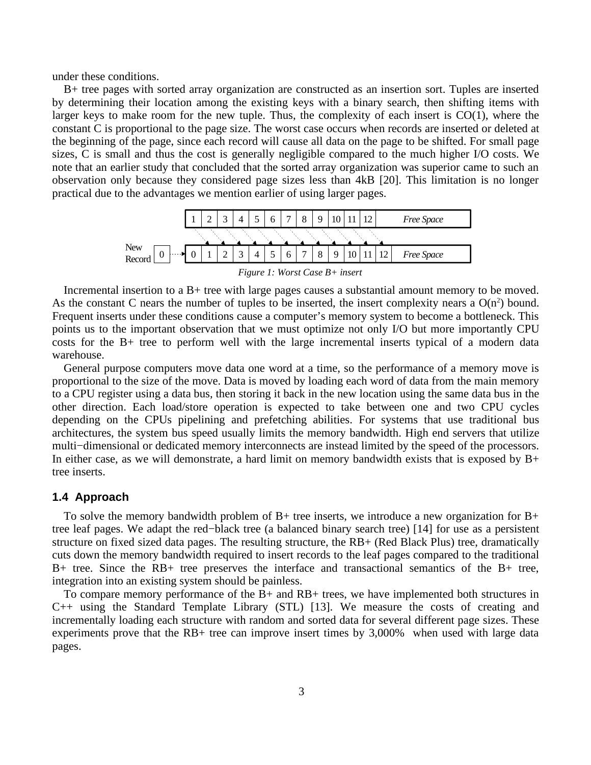under these conditions.

B+ tree pages with sorted array organization are constructed as an insertion sort. Tuples are inserted by determining their location among the existing keys with a binary search, then shifting items with larger keys to make room for the new tuple. Thus, the complexity of each insert is  $CO(1)$ , where the constant C is proportional to the page size. The worst case occurs when records are inserted or deleted at the beginning of the page, since each record will cause all data on the page to be shifted. For small page sizes, C is small and thus the cost is generally negligible compared to the much higher I/O costs. We note that an earlier study that concluded that the sorted array organization was superior came to such an observation only because they considered page sizes less than 4kB [20]. This limitation is no longer practical due to the advantages we mention earlier of using larger pages.



*Figure 1: Worst Case B+ insert*

Incremental insertion to a B+ tree with large pages causes a substantial amount memory to be moved. As the constant C nears the number of tuples to be inserted, the insert complexity nears a  $O(n^2)$  bound. Frequent inserts under these conditions cause a computer's memory system to become a bottleneck. This points us to the important observation that we must optimize not only I/O but more importantly CPU costs for the B+ tree to perform well with the large incremental inserts typical of a modern data warehouse.

General purpose computers move data one word at a time, so the performance of a memory move is proportional to the size of the move. Data is moved by loading each word of data from the main memory to a CPU register using a data bus, then storing it back in the new location using the same data bus in the other direction. Each load/store operation is expected to take between one and two CPU cycles depending on the CPUs pipelining and prefetching abilities. For systems that use traditional bus architectures, the system bus speed usually limits the memory bandwidth. High end servers that utilize multi−dimensional or dedicated memory interconnects are instead limited by the speed of the processors. In either case, as we will demonstrate, a hard limit on memory bandwidth exists that is exposed by B+ tree inserts.

#### **1.4 Approach**

To solve the memory bandwidth problem of  $B+$  tree inserts, we introduce a new organization for  $B+$ tree leaf pages. We adapt the red−black tree (a balanced binary search tree) [14] for use as a persistent structure on fixed sized data pages. The resulting structure, the RB+ (Red Black Plus) tree, dramatically cuts down the memory bandwidth required to insert records to the leaf pages compared to the traditional B+ tree. Since the RB+ tree preserves the interface and transactional semantics of the B+ tree, integration into an existing system should be painless.

To compare memory performance of the B+ and RB+ trees, we have implemented both structures in C++ using the Standard Template Library (STL) [13]. We measure the costs of creating and incrementally loading each structure with random and sorted data for several different page sizes. These experiments prove that the RB+ tree can improve insert times by 3,000% when used with large data pages.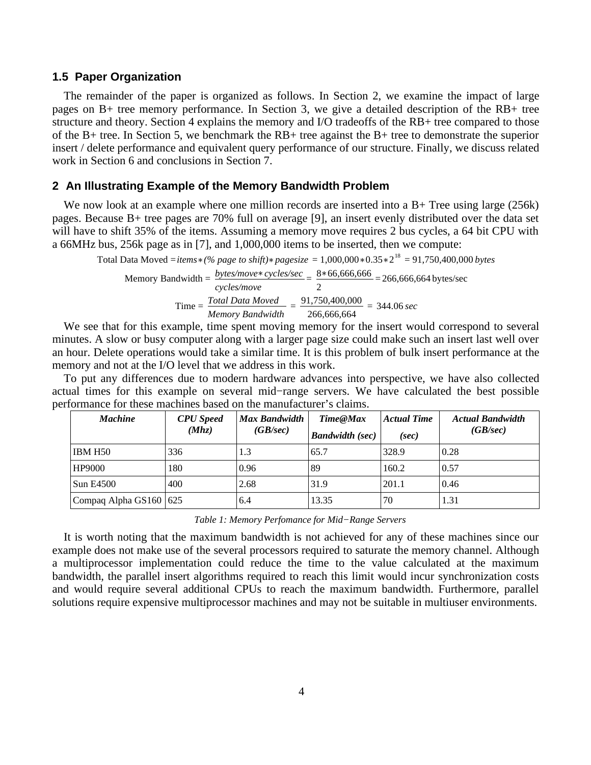#### **1.5 Paper Organization**

The remainder of the paper is organized as follows. In Section 2, we examine the impact of large pages on B+ tree memory performance. In Section 3, we give a detailed description of the RB+ tree structure and theory. Section 4 explains the memory and I/O tradeoffs of the RB+ tree compared to those of the B+ tree. In Section 5, we benchmark the RB+ tree against the B+ tree to demonstrate the superior insert / delete performance and equivalent query performance of our structure. Finally, we discuss related work in Section 6 and conclusions in Section 7.

#### **2 An Illustrating Example of the Memory Bandwidth Problem**

We now look at an example where one million records are inserted into a B+ Tree using large (256k) pages. Because B+ tree pages are 70% full on average [9], an insert evenly distributed over the data set will have to shift 35% of the items. Assuming a memory move requires 2 bus cycles, a 64 bit CPU with a 66MHz bus, 256k page as in [7], and 1,000,000 items to be inserted, then we compute:

Total Data Moved = *items* \* (% page to shift) \* pagesize =  $1,000,000$  \*  $0.35$  \*  $2^{18}$  =  $91,750,400,000$  bytes Memory Bandwidth = *bytes/move cycles/sec cycles/move*  $=\frac{8*66,666,666}{8}$ 2 = 266,666,664 bytes/sec Time = *Total Data Moved Memory Bandwidth*  $=\frac{91,750,400,000}{8}$ 266,666,664 = 344.06 *sec*

We see that for this example, time spent moving memory for the insert would correspond to several minutes. A slow or busy computer along with a larger page size could make such an insert last well over an hour. Delete operations would take a similar time. It is this problem of bulk insert performance at the memory and not at the I/O level that we address in this work.

To put any differences due to modern hardware advances into perspective, we have also collected actual times for this example on several mid−range servers. We have calculated the best possible performance for these machines based on the manufacturer's claims.

| <b>Machine</b>             | <b>CPU</b> Speed | <b>Max Bandwidth</b><br>(GB/sec) | Time@Max               | <b>Actual Time</b> | <b>Actual Bandwidth</b> |
|----------------------------|------------------|----------------------------------|------------------------|--------------------|-------------------------|
|                            | (Mhz)            |                                  | <b>Bandwidth</b> (sec) | (sec)              | (GB/sec)                |
| IBM H50                    | 336              | 1.3                              | 65.7                   | 328.9              | 0.28                    |
| <b>HP9000</b>              | 180              | 0.96                             | 89                     | 160.2              | 0.57                    |
| <b>Sun E4500</b>           | 400              | 2.68                             | 31.9                   | 201.1              | 0.46                    |
| Compaq Alpha GS160 $ 625 $ |                  | 6.4                              | 13.35                  | 70                 | 1.31                    |

*Table 1: Memory Perfomance for Mid−Range Servers*

It is worth noting that the maximum bandwidth is not achieved for any of these machines since our example does not make use of the several processors required to saturate the memory channel. Although a multiprocessor implementation could reduce the time to the value calculated at the maximum bandwidth, the parallel insert algorithms required to reach this limit would incur synchronization costs and would require several additional CPUs to reach the maximum bandwidth. Furthermore, parallel solutions require expensive multiprocessor machines and may not be suitable in multiuser environments.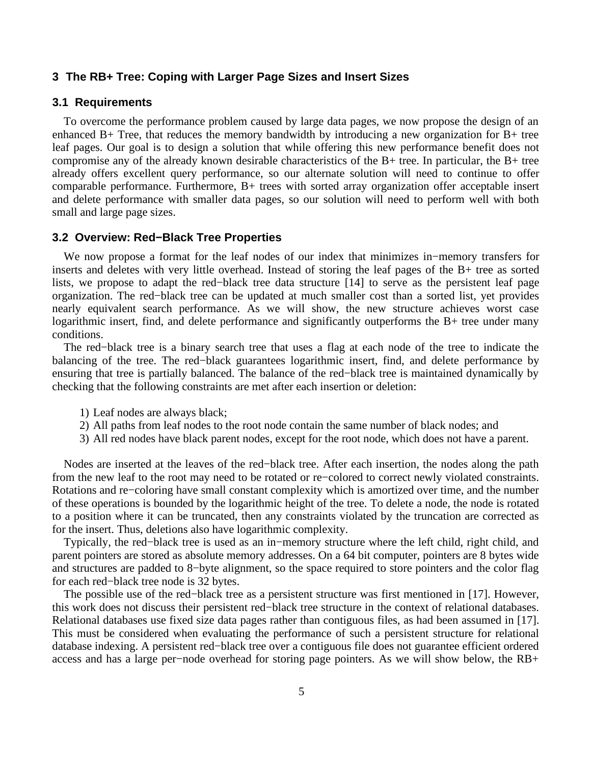#### **3 The RB+ Tree: Coping with Larger Page Sizes and Insert Sizes**

#### **3.1 Requirements**

To overcome the performance problem caused by large data pages, we now propose the design of an enhanced B+ Tree, that reduces the memory bandwidth by introducing a new organization for B+ tree leaf pages. Our goal is to design a solution that while offering this new performance benefit does not compromise any of the already known desirable characteristics of the B+ tree. In particular, the B+ tree already offers excellent query performance, so our alternate solution will need to continue to offer comparable performance. Furthermore, B+ trees with sorted array organization offer acceptable insert and delete performance with smaller data pages, so our solution will need to perform well with both small and large page sizes.

#### **3.2 Overview: Red−Black Tree Properties**

We now propose a format for the leaf nodes of our index that minimizes in−memory transfers for inserts and deletes with very little overhead. Instead of storing the leaf pages of the B+ tree as sorted lists, we propose to adapt the red−black tree data structure [14] to serve as the persistent leaf page organization. The red−black tree can be updated at much smaller cost than a sorted list, yet provides nearly equivalent search performance. As we will show, the new structure achieves worst case logarithmic insert, find, and delete performance and significantly outperforms the B+ tree under many conditions.

The red−black tree is a binary search tree that uses a flag at each node of the tree to indicate the balancing of the tree. The red−black guarantees logarithmic insert, find, and delete performance by ensuring that tree is partially balanced. The balance of the red−black tree is maintained dynamically by checking that the following constraints are met after each insertion or deletion:

- 1) Leaf nodes are always black;
- 2) All paths from leaf nodes to the root node contain the same number of black nodes; and
- 3) All red nodes have black parent nodes, except for the root node, which does not have a parent.

Nodes are inserted at the leaves of the red−black tree. After each insertion, the nodes along the path from the new leaf to the root may need to be rotated or re−colored to correct newly violated constraints. Rotations and re−coloring have small constant complexity which is amortized over time, and the number of these operations is bounded by the logarithmic height of the tree. To delete a node, the node is rotated to a position where it can be truncated, then any constraints violated by the truncation are corrected as for the insert. Thus, deletions also have logarithmic complexity.

Typically, the red−black tree is used as an in−memory structure where the left child, right child, and parent pointers are stored as absolute memory addresses. On a 64 bit computer, pointers are 8 bytes wide and structures are padded to 8−byte alignment, so the space required to store pointers and the color flag for each red−black tree node is 32 bytes.

The possible use of the red−black tree as a persistent structure was first mentioned in [17]. However, this work does not discuss their persistent red−black tree structure in the context of relational databases. Relational databases use fixed size data pages rather than contiguous files, as had been assumed in [17]. This must be considered when evaluating the performance of such a persistent structure for relational database indexing. A persistent red−black tree over a contiguous file does not guarantee efficient ordered access and has a large per−node overhead for storing page pointers. As we will show below, the RB+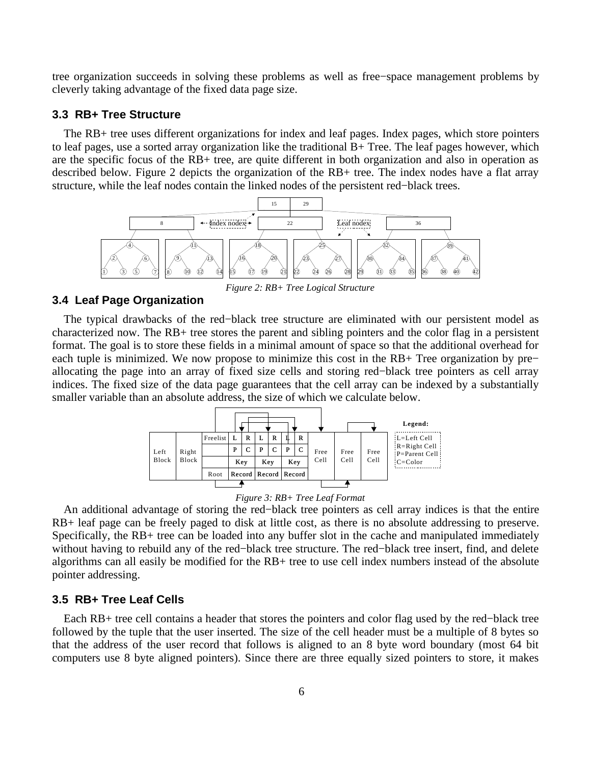tree organization succeeds in solving these problems as well as free−space management problems by cleverly taking advantage of the fixed data page size.

#### **3.3 RB+ Tree Structure**

The RB+ tree uses different organizations for index and leaf pages. Index pages, which store pointers to leaf pages, use a sorted array organization like the traditional B+ Tree. The leaf pages however, which are the specific focus of the RB+ tree, are quite different in both organization and also in operation as described below. Figure 2 depicts the organization of the RB+ tree. The index nodes have a flat array structure, while the leaf nodes contain the linked nodes of the persistent red−black trees.



*Figure 2: RB+ Tree Logical Structure*

# **3.4 Leaf Page Organization**

The typical drawbacks of the red−black tree structure are eliminated with our persistent model as characterized now. The RB+ tree stores the parent and sibling pointers and the color flag in a persistent format. The goal is to store these fields in a minimal amount of space so that the additional overhead for each tuple is minimized. We now propose to minimize this cost in the RB+ Tree organization by pre− allocating the page into an array of fixed size cells and storing red−black tree pointers as cell array indices. The fixed size of the data page guarantees that the cell array can be indexed by a substantially smaller variable than an absolute address, the size of which we calculate below.



*Figure 3: RB+ Tree Leaf Format*

An additional advantage of storing the red−black tree pointers as cell array indices is that the entire RB+ leaf page can be freely paged to disk at little cost, as there is no absolute addressing to preserve. Specifically, the RB+ tree can be loaded into any buffer slot in the cache and manipulated immediately without having to rebuild any of the red−black tree structure. The red−black tree insert, find, and delete algorithms can all easily be modified for the RB+ tree to use cell index numbers instead of the absolute pointer addressing.

#### **3.5 RB+ Tree Leaf Cells**

Each RB+ tree cell contains a header that stores the pointers and color flag used by the red−black tree followed by the tuple that the user inserted. The size of the cell header must be a multiple of 8 bytes so that the address of the user record that follows is aligned to an 8 byte word boundary (most 64 bit computers use 8 byte aligned pointers). Since there are three equally sized pointers to store, it makes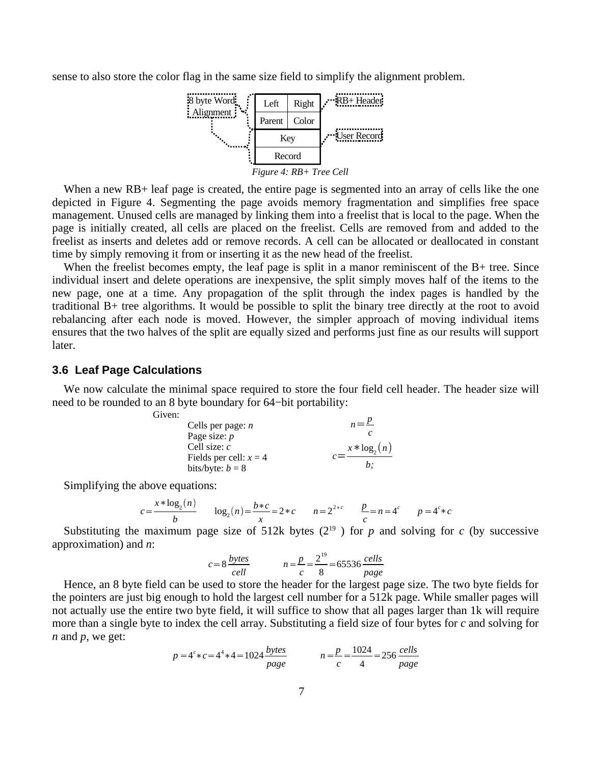sense to also store the color flag in the same size field to simplify the alignment problem.



When a new RB+ leaf page is created, the entire page is segmented into an array of cells like the one depicted in Figure 4. Segmenting the page avoids memory fragmentation and simplifies free space management. Unused cells are managed by linking them into a freelist that is local to the page. When the page is initially created, all cells are placed on the freelist. Cells are removed from and added to the freelist as inserts and deletes add or remove records. A cell can be allocated or deallocated in constant time by simply removing it from or inserting it as the new head of the freelist.

When the freelist becomes empty, the leaf page is split in a manor reminiscent of the B+ tree. Since individual insert and delete operations are inexpensive, the split simply moves half of the items to the new page, one at a time. Any propagation of the split through the index pages is handled by the traditional B+ tree algorithms. It would be possible to split the binary tree directly at the root to avoid rebalancing after each node is moved. However, the simpler approach of moving individual items ensures that the two halves of the split are equally sized and performs just fine as our results will support later.

#### **3.6 Leaf Page Calculations**

We now calculate the minimal space required to store the four field cell header. The header size will need to be rounded to an 8 byte boundary for 64−bit portability:

| Cells per page: $n$      | $n = \frac{p}{q}$ |
|--------------------------|-------------------|
| Page size: $p$           |                   |
| Cell size: $c$           | $x * log2(n)$     |
| Fields per cell: $x = 4$ |                   |
| bits/byte: $b = 8$       | h:                |

Simplifying the above equations:

Given:

$$
c = \frac{x * \log_2(n)}{b} \qquad \log_2(n) = \frac{b * c}{x} = 2 * c \qquad n = 2^{2 * c} \qquad \frac{p}{c} = n = 4^c \qquad p = 4^c * c
$$

Substituting the maximum page size of 512k bytes  $(2^{19})$  for p and solving for c (by successive approximation) and *n*:

$$
c = 8 \frac{bytes}{cell} \qquad n = \frac{p}{c} = \frac{2^{19}}{8} = 65536 \frac{cells}{page}
$$

Hence, an 8 byte field can be used to store the header for the largest page size. The two byte fields for the pointers are just big enough to hold the largest cell number for a 512k page. While smaller pages will not actually use the entire two byte field, it will suffice to show that all pages larger than 1k will require more than a single byte to index the cell array. Substituting a field size of four bytes for *c* and solving for *n* and *p*, we get:

$$
p = 4^{c} * c = 4^{4} * 4 = 1024 \frac{bytes}{page}
$$
  $n = \frac{p}{c} = \frac{1024}{4} = 256 \frac{cells}{page}$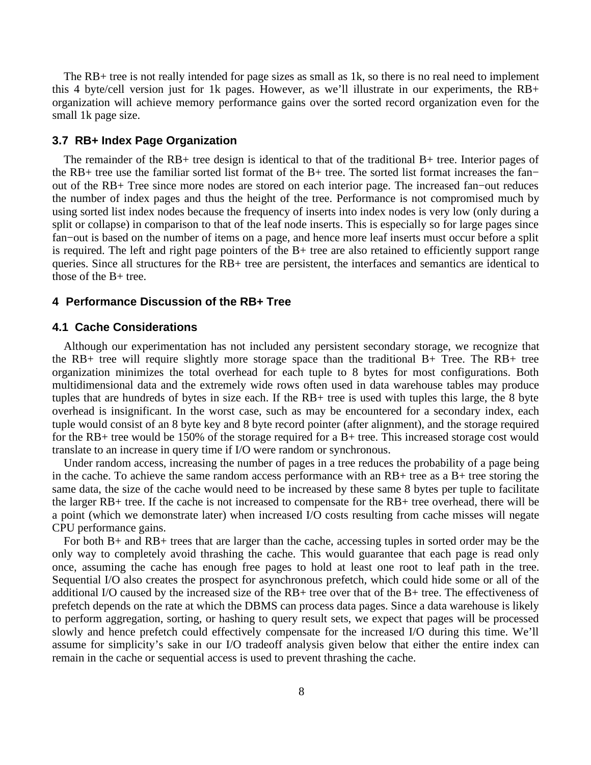The RB+ tree is not really intended for page sizes as small as 1k, so there is no real need to implement this 4 byte/cell version just for 1k pages. However, as we'll illustrate in our experiments, the RB+ organization will achieve memory performance gains over the sorted record organization even for the small 1k page size.

#### **3.7 RB+ Index Page Organization**

The remainder of the RB+ tree design is identical to that of the traditional B+ tree. Interior pages of the RB+ tree use the familiar sorted list format of the B+ tree. The sorted list format increases the fan− out of the RB+ Tree since more nodes are stored on each interior page. The increased fan−out reduces the number of index pages and thus the height of the tree. Performance is not compromised much by using sorted list index nodes because the frequency of inserts into index nodes is very low (only during a split or collapse) in comparison to that of the leaf node inserts. This is especially so for large pages since fan−out is based on the number of items on a page, and hence more leaf inserts must occur before a split is required. The left and right page pointers of the B+ tree are also retained to efficiently support range queries. Since all structures for the RB+ tree are persistent, the interfaces and semantics are identical to those of the B+ tree.

#### **4 Performance Discussion of the RB+ Tree**

#### **4.1 Cache Considerations**

Although our experimentation has not included any persistent secondary storage, we recognize that the RB+ tree will require slightly more storage space than the traditional B+ Tree. The RB+ tree organization minimizes the total overhead for each tuple to 8 bytes for most configurations. Both multidimensional data and the extremely wide rows often used in data warehouse tables may produce tuples that are hundreds of bytes in size each. If the RB+ tree is used with tuples this large, the 8 byte overhead is insignificant. In the worst case, such as may be encountered for a secondary index, each tuple would consist of an 8 byte key and 8 byte record pointer (after alignment), and the storage required for the RB+ tree would be 150% of the storage required for a B+ tree. This increased storage cost would translate to an increase in query time if I/O were random or synchronous.

Under random access, increasing the number of pages in a tree reduces the probability of a page being in the cache. To achieve the same random access performance with an RB+ tree as a B+ tree storing the same data, the size of the cache would need to be increased by these same 8 bytes per tuple to facilitate the larger RB+ tree. If the cache is not increased to compensate for the RB+ tree overhead, there will be a point (which we demonstrate later) when increased I/O costs resulting from cache misses will negate CPU performance gains.

For both B+ and RB+ trees that are larger than the cache, accessing tuples in sorted order may be the only way to completely avoid thrashing the cache. This would guarantee that each page is read only once, assuming the cache has enough free pages to hold at least one root to leaf path in the tree. Sequential I/O also creates the prospect for asynchronous prefetch, which could hide some or all of the additional I/O caused by the increased size of the RB+ tree over that of the B+ tree. The effectiveness of prefetch depends on the rate at which the DBMS can process data pages. Since a data warehouse is likely to perform aggregation, sorting, or hashing to query result sets, we expect that pages will be processed slowly and hence prefetch could effectively compensate for the increased I/O during this time. We'll assume for simplicity's sake in our I/O tradeoff analysis given below that either the entire index can remain in the cache or sequential access is used to prevent thrashing the cache.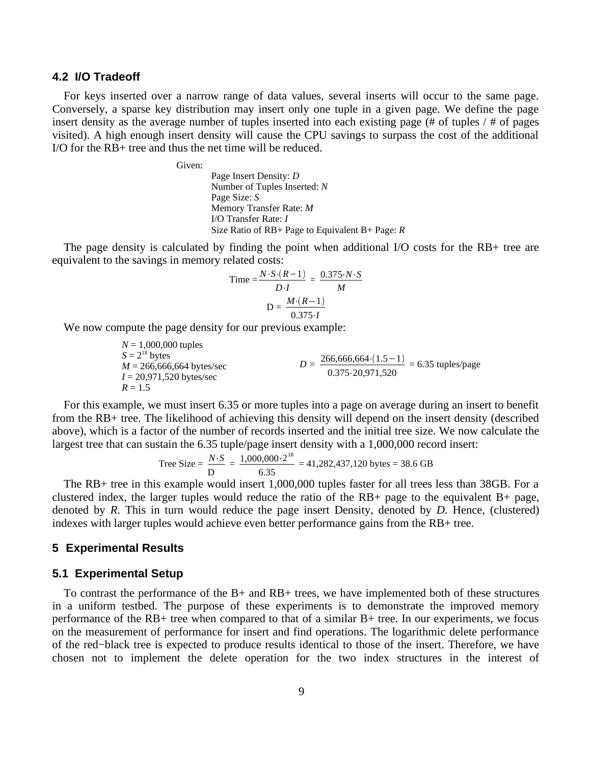#### **4.2 I/O Tradeoff**

For keys inserted over a narrow range of data values, several inserts will occur to the same page. Conversely, a sparse key distribution may insert only one tuple in a given page. We define the page insert density as the average number of tuples inserted into each existing page (# of tuples / # of pages visited). A high enough insert density will cause the CPU savings to surpass the cost of the additional I/O for the RB+ tree and thus the net time will be reduced.

Given:

Page Insert Density: *D* Number of Tuples Inserted: *N* Page Size: *S* Memory Transfer Rate: *M* I/O Transfer Rate: *I* Size Ratio of RB+ Page to Equivalent B+ Page: *R*

The page density is calculated by finding the point when additional I/O costs for the RB+ tree are equivalent to the savings in memory related costs:

Time = 
$$
\frac{N \cdot S \cdot (R-1)}{D \cdot I} = \frac{0.375 \cdot N \cdot S}{M}
$$
  
D =  $\frac{M \cdot (R-1)}{0.375 \cdot I}$ 

We now compute the page density for our previous example:

*N* = 1,000,000 tuples  $S = 2^{18}$  bytes *M* = 266,666,664 bytes/sec *I* = 20,971,520 bytes/sec  $R = 1.5$  $D = \frac{266,666,664 \cdot (1.5 - 1)}{2} = 6.35$  tup 0.375 20,971,520 = 6.35 tuples/page

For this example, we must insert 6.35 or more tuples into a page on average during an insert to benefit from the RB+ tree. The likelihood of achieving this density will depend on the insert density (described above), which is a factor of the number of records inserted and the initial tree size. We now calculate the largest tree that can sustain the 6.35 tuple/page insert density with a 1,000,000 record insert:

Tree Size = 
$$
\frac{N \cdot S}{D}
$$
 =  $\frac{1,000,000 \cdot 2^{18}}{6.35}$  = 41,282,437,120 bytes = 38.6 GB

The RB+ tree in this example would insert 1,000,000 tuples faster for all trees less than 38GB. For a clustered index, the larger tuples would reduce the ratio of the  $RB+$  page to the equivalent  $B+$  page, denoted by *R*. This in turn would reduce the page insert Density, denoted by *D*. Hence, (clustered) indexes with larger tuples would achieve even better performance gains from the RB+ tree.

#### **5 Experimental Results**

#### **5.1 Experimental Setup**

To contrast the performance of the B+ and RB+ trees, we have implemented both of these structures in a uniform testbed. The purpose of these experiments is to demonstrate the improved memory performance of the RB+ tree when compared to that of a similar B+ tree. In our experiments, we focus on the measurement of performance for insert and find operations. The logarithmic delete performance of the red−black tree is expected to produce results identical to those of the insert. Therefore, we have chosen not to implement the delete operation for the two index structures in the interest of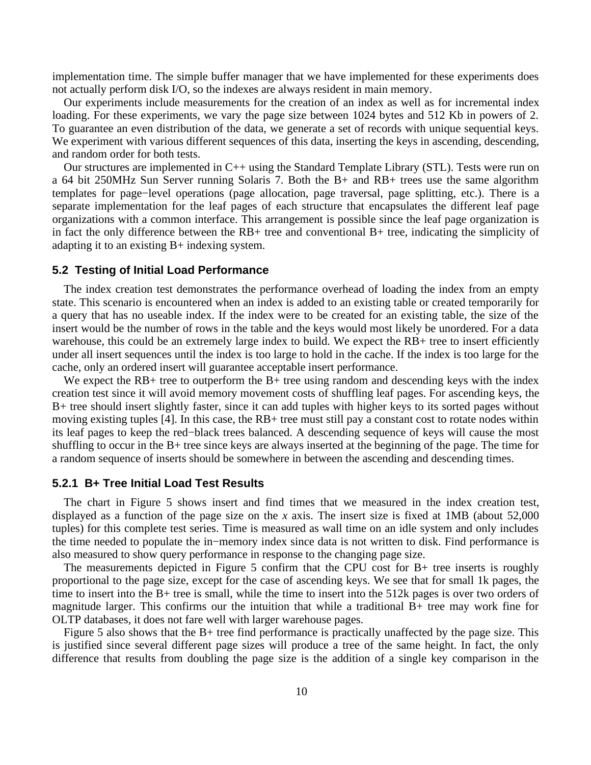implementation time. The simple buffer manager that we have implemented for these experiments does not actually perform disk I/O, so the indexes are always resident in main memory.

Our experiments include measurements for the creation of an index as well as for incremental index loading. For these experiments, we vary the page size between 1024 bytes and 512 Kb in powers of 2. To guarantee an even distribution of the data, we generate a set of records with unique sequential keys. We experiment with various different sequences of this data, inserting the keys in ascending, descending, and random order for both tests.

Our structures are implemented in C++ using the Standard Template Library (STL). Tests were run on a 64 bit 250MHz Sun Server running Solaris 7. Both the B+ and RB+ trees use the same algorithm templates for page−level operations (page allocation, page traversal, page splitting, etc.). There is a separate implementation for the leaf pages of each structure that encapsulates the different leaf page organizations with a common interface. This arrangement is possible since the leaf page organization is in fact the only difference between the  $RB+$  tree and conventional  $B+$  tree, indicating the simplicity of adapting it to an existing B+ indexing system.

#### **5.2 Testing of Initial Load Performance**

The index creation test demonstrates the performance overhead of loading the index from an empty state. This scenario is encountered when an index is added to an existing table or created temporarily for a query that has no useable index. If the index were to be created for an existing table, the size of the insert would be the number of rows in the table and the keys would most likely be unordered. For a data warehouse, this could be an extremely large index to build. We expect the RB+ tree to insert efficiently under all insert sequences until the index is too large to hold in the cache. If the index is too large for the cache, only an ordered insert will guarantee acceptable insert performance.

We expect the RB+ tree to outperform the B+ tree using random and descending keys with the index creation test since it will avoid memory movement costs of shuffling leaf pages. For ascending keys, the B+ tree should insert slightly faster, since it can add tuples with higher keys to its sorted pages without moving existing tuples [4]. In this case, the RB+ tree must still pay a constant cost to rotate nodes within its leaf pages to keep the red−black trees balanced. A descending sequence of keys will cause the most shuffling to occur in the B+ tree since keys are always inserted at the beginning of the page. The time for a random sequence of inserts should be somewhere in between the ascending and descending times.

# **5.2.1 B+ Tree Initial Load Test Results**

The chart in Figure 5 shows insert and find times that we measured in the index creation test, displayed as a function of the page size on the *x* axis. The insert size is fixed at 1MB (about 52,000 tuples) for this complete test series. Time is measured as wall time on an idle system and only includes the time needed to populate the in−memory index since data is not written to disk. Find performance is also measured to show query performance in response to the changing page size.

The measurements depicted in Figure 5 confirm that the CPU cost for B+ tree inserts is roughly proportional to the page size, except for the case of ascending keys. We see that for small 1k pages, the time to insert into the B+ tree is small, while the time to insert into the 512k pages is over two orders of magnitude larger. This confirms our the intuition that while a traditional B+ tree may work fine for OLTP databases, it does not fare well with larger warehouse pages.

Figure 5 also shows that the B+ tree find performance is practically unaffected by the page size. This is justified since several different page sizes will produce a tree of the same height. In fact, the only difference that results from doubling the page size is the addition of a single key comparison in the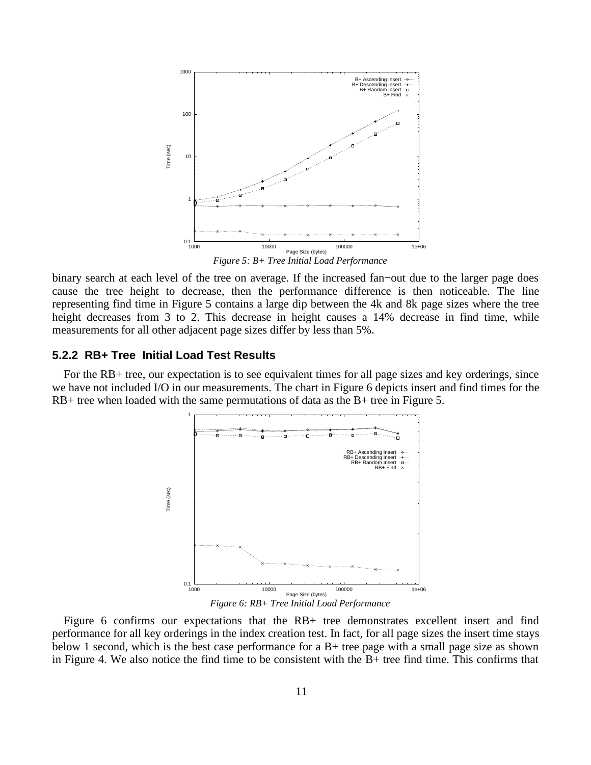

binary search at each level of the tree on average. If the increased fan−out due to the larger page does cause the tree height to decrease, then the performance difference is then noticeable. The line representing find time in Figure 5 contains a large dip between the 4k and 8k page sizes where the tree height decreases from 3 to 2. This decrease in height causes a 14% decrease in find time, while measurements for all other adjacent page sizes differ by less than 5%.

### **5.2.2 RB+ Tree Initial Load Test Results**

For the RB+ tree, our expectation is to see equivalent times for all page sizes and key orderings, since we have not included I/O in our measurements. The chart in Figure 6 depicts insert and find times for the RB+ tree when loaded with the same permutations of data as the B+ tree in Figure 5.



Figure 6 confirms our expectations that the RB+ tree demonstrates excellent insert and find performance for all key orderings in the index creation test. In fact, for all page sizes the insert time stays below 1 second, which is the best case performance for a B+ tree page with a small page size as shown in Figure 4. We also notice the find time to be consistent with the B+ tree find time. This confirms that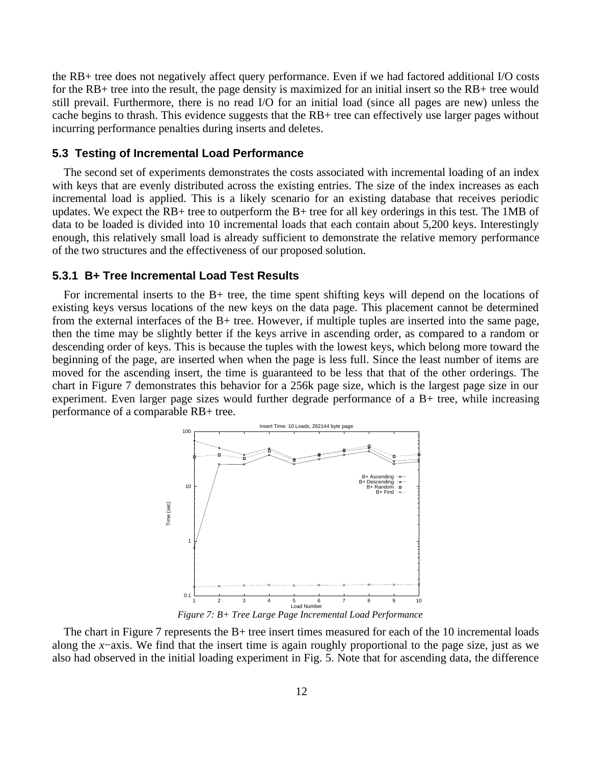the RB+ tree does not negatively affect query performance. Even if we had factored additional I/O costs for the RB+ tree into the result, the page density is maximized for an initial insert so the RB+ tree would still prevail. Furthermore, there is no read I/O for an initial load (since all pages are new) unless the cache begins to thrash. This evidence suggests that the RB+ tree can effectively use larger pages without incurring performance penalties during inserts and deletes.

#### **5.3 Testing of Incremental Load Performance**

The second set of experiments demonstrates the costs associated with incremental loading of an index with keys that are evenly distributed across the existing entries. The size of the index increases as each incremental load is applied. This is a likely scenario for an existing database that receives periodic updates. We expect the RB+ tree to outperform the B+ tree for all key orderings in this test. The 1MB of data to be loaded is divided into 10 incremental loads that each contain about 5,200 keys. Interestingly enough, this relatively small load is already sufficient to demonstrate the relative memory performance of the two structures and the effectiveness of our proposed solution.

#### **5.3.1 B+ Tree Incremental Load Test Results**

For incremental inserts to the B+ tree, the time spent shifting keys will depend on the locations of existing keys versus locations of the new keys on the data page. This placement cannot be determined from the external interfaces of the B+ tree. However, if multiple tuples are inserted into the same page, then the time may be slightly better if the keys arrive in ascending order, as compared to a random or descending order of keys. This is because the tuples with the lowest keys, which belong more toward the beginning of the page, are inserted when when the page is less full. Since the least number of items are moved for the ascending insert, the time is guaranteed to be less that that of the other orderings. The chart in Figure 7 demonstrates this behavior for a 256k page size, which is the largest page size in our experiment. Even larger page sizes would further degrade performance of a B+ tree, while increasing performance of a comparable RB+ tree.



*Figure 7: B+ Tree Large Page Incremental Load Performance*

The chart in Figure 7 represents the B+ tree insert times measured for each of the 10 incremental loads along the *x*−axis. We find that the insert time is again roughly proportional to the page size, just as we also had observed in the initial loading experiment in Fig. 5. Note that for ascending data, the difference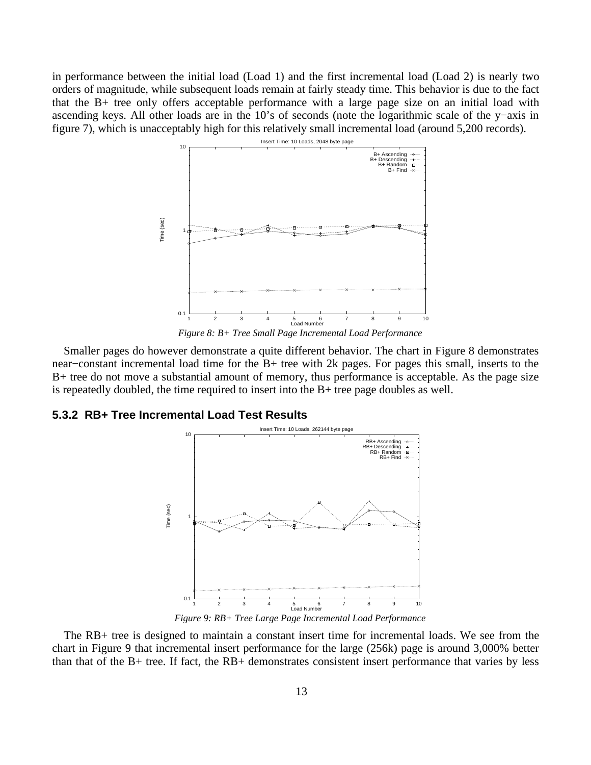in performance between the initial load (Load 1) and the first incremental load (Load 2) is nearly two orders of magnitude, while subsequent loads remain at fairly steady time. This behavior is due to the fact that the B+ tree only offers acceptable performance with a large page size on an initial load with ascending keys. All other loads are in the 10's of seconds (note the logarithmic scale of the y−axis in figure 7), which is unacceptably high for this relatively small incremental load (around 5,200 records).



*Figure 8: B+ Tree Small Page Incremental Load Performance*

Smaller pages do however demonstrate a quite different behavior. The chart in Figure 8 demonstrates near−constant incremental load time for the B+ tree with 2k pages. For pages this small, inserts to the B+ tree do not move a substantial amount of memory, thus performance is acceptable. As the page size is repeatedly doubled, the time required to insert into the B+ tree page doubles as well.

# **5.3.2 RB+ Tree Incremental Load Test Results**



*Figure 9: RB+ Tree Large Page Incremental Load Performance*

The RB+ tree is designed to maintain a constant insert time for incremental loads. We see from the chart in Figure 9 that incremental insert performance for the large (256k) page is around 3,000% better than that of the B+ tree. If fact, the RB+ demonstrates consistent insert performance that varies by less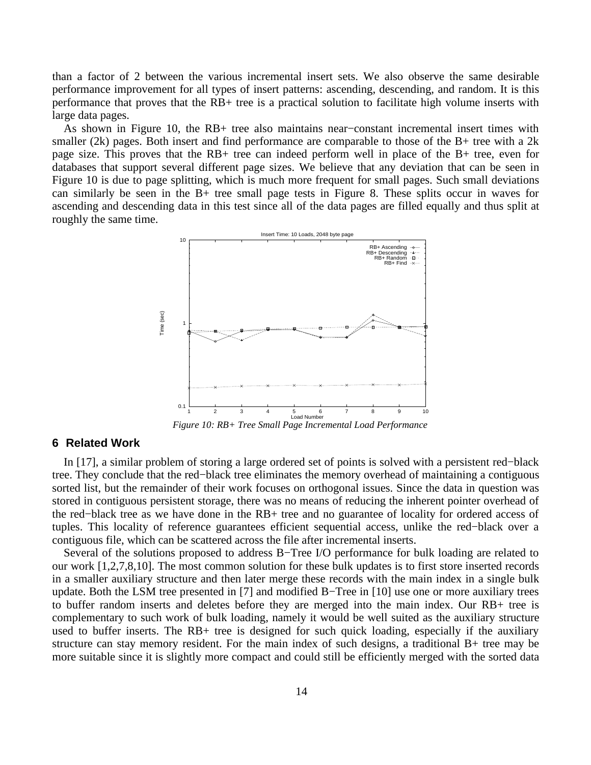than a factor of 2 between the various incremental insert sets. We also observe the same desirable performance improvement for all types of insert patterns: ascending, descending, and random. It is this performance that proves that the RB+ tree is a practical solution to facilitate high volume inserts with large data pages.

As shown in Figure 10, the RB+ tree also maintains near−constant incremental insert times with smaller (2k) pages. Both insert and find performance are comparable to those of the  $B+$  tree with a 2k page size. This proves that the RB+ tree can indeed perform well in place of the B+ tree, even for databases that support several different page sizes. We believe that any deviation that can be seen in Figure 10 is due to page splitting, which is much more frequent for small pages. Such small deviations can similarly be seen in the B+ tree small page tests in Figure 8. These splits occur in waves for ascending and descending data in this test since all of the data pages are filled equally and thus split at roughly the same time.



*Figure 10: RB+ Tree Small Page Incremental Load Performance*

# **6 Related Work**

In [17], a similar problem of storing a large ordered set of points is solved with a persistent red−black tree. They conclude that the red−black tree eliminates the memory overhead of maintaining a contiguous sorted list, but the remainder of their work focuses on orthogonal issues. Since the data in question was stored in contiguous persistent storage, there was no means of reducing the inherent pointer overhead of the red−black tree as we have done in the RB+ tree and no guarantee of locality for ordered access of tuples. This locality of reference guarantees efficient sequential access, unlike the red−black over a contiguous file, which can be scattered across the file after incremental inserts.

Several of the solutions proposed to address B−Tree I/O performance for bulk loading are related to our work [1,2,7,8,10]. The most common solution for these bulk updates is to first store inserted records in a smaller auxiliary structure and then later merge these records with the main index in a single bulk update. Both the LSM tree presented in [7] and modified B−Tree in [10] use one or more auxiliary trees to buffer random inserts and deletes before they are merged into the main index. Our RB+ tree is complementary to such work of bulk loading, namely it would be well suited as the auxiliary structure used to buffer inserts. The RB+ tree is designed for such quick loading, especially if the auxiliary structure can stay memory resident. For the main index of such designs, a traditional B+ tree may be more suitable since it is slightly more compact and could still be efficiently merged with the sorted data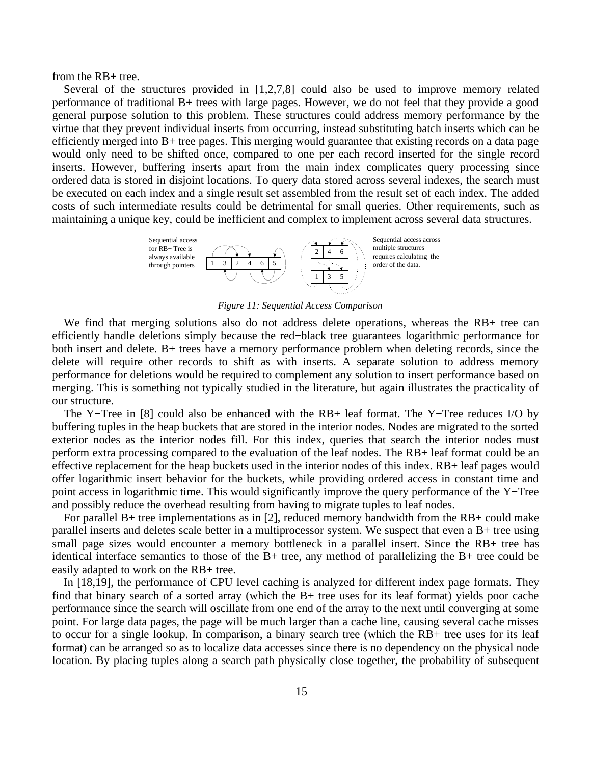from the RB+ tree.

Several of the structures provided in [1,2,7,8] could also be used to improve memory related performance of traditional B+ trees with large pages. However, we do not feel that they provide a good general purpose solution to this problem. These structures could address memory performance by the virtue that they prevent individual inserts from occurring, instead substituting batch inserts which can be efficiently merged into B+ tree pages. This merging would guarantee that existing records on a data page would only need to be shifted once, compared to one per each record inserted for the single record inserts. However, buffering inserts apart from the main index complicates query processing since ordered data is stored in disjoint locations. To query data stored across several indexes, the search must be executed on each index and a single result set assembled from the result set of each index. The added costs of such intermediate results could be detrimental for small queries. Other requirements, such as maintaining a unique key, could be inefficient and complex to implement across several data structures.



*Figure 11: Sequential Access Comparison*

We find that merging solutions also do not address delete operations, whereas the RB+ tree can efficiently handle deletions simply because the red−black tree guarantees logarithmic performance for both insert and delete. B+ trees have a memory performance problem when deleting records, since the delete will require other records to shift as with inserts. A separate solution to address memory performance for deletions would be required to complement any solution to insert performance based on merging. This is something not typically studied in the literature, but again illustrates the practicality of our structure.

The Y−Tree in [8] could also be enhanced with the RB+ leaf format. The Y−Tree reduces I/O by buffering tuples in the heap buckets that are stored in the interior nodes. Nodes are migrated to the sorted exterior nodes as the interior nodes fill. For this index, queries that search the interior nodes must perform extra processing compared to the evaluation of the leaf nodes. The RB+ leaf format could be an effective replacement for the heap buckets used in the interior nodes of this index. RB+ leaf pages would offer logarithmic insert behavior for the buckets, while providing ordered access in constant time and point access in logarithmic time. This would significantly improve the query performance of the Y−Tree and possibly reduce the overhead resulting from having to migrate tuples to leaf nodes.

For parallel B+ tree implementations as in [2], reduced memory bandwidth from the RB+ could make parallel inserts and deletes scale better in a multiprocessor system. We suspect that even a B+ tree using small page sizes would encounter a memory bottleneck in a parallel insert. Since the RB+ tree has identical interface semantics to those of the B+ tree, any method of parallelizing the B+ tree could be easily adapted to work on the RB+ tree.

In [18,19], the performance of CPU level caching is analyzed for different index page formats. They find that binary search of a sorted array (which the B+ tree uses for its leaf format) yields poor cache performance since the search will oscillate from one end of the array to the next until converging at some point. For large data pages, the page will be much larger than a cache line, causing several cache misses to occur for a single lookup. In comparison, a binary search tree (which the RB+ tree uses for its leaf format) can be arranged so as to localize data accesses since there is no dependency on the physical node location. By placing tuples along a search path physically close together, the probability of subsequent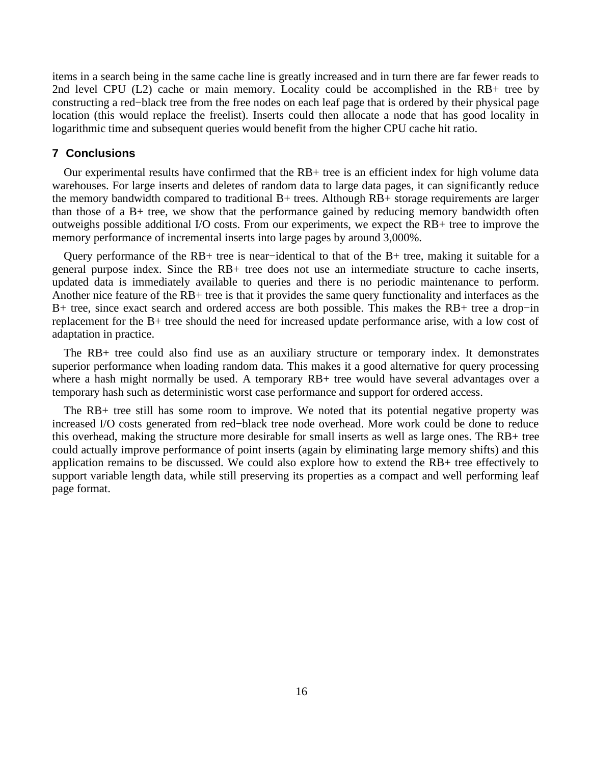items in a search being in the same cache line is greatly increased and in turn there are far fewer reads to 2nd level CPU (L2) cache or main memory. Locality could be accomplished in the RB+ tree by constructing a red−black tree from the free nodes on each leaf page that is ordered by their physical page location (this would replace the freelist). Inserts could then allocate a node that has good locality in logarithmic time and subsequent queries would benefit from the higher CPU cache hit ratio.

#### **7 Conclusions**

Our experimental results have confirmed that the RB+ tree is an efficient index for high volume data warehouses. For large inserts and deletes of random data to large data pages, it can significantly reduce the memory bandwidth compared to traditional B+ trees. Although RB+ storage requirements are larger than those of a B+ tree, we show that the performance gained by reducing memory bandwidth often outweighs possible additional I/O costs. From our experiments, we expect the RB+ tree to improve the memory performance of incremental inserts into large pages by around 3,000%.

Query performance of the RB+ tree is near−identical to that of the B+ tree, making it suitable for a general purpose index. Since the RB+ tree does not use an intermediate structure to cache inserts, updated data is immediately available to queries and there is no periodic maintenance to perform. Another nice feature of the RB+ tree is that it provides the same query functionality and interfaces as the B+ tree, since exact search and ordered access are both possible. This makes the RB+ tree a drop−in replacement for the B+ tree should the need for increased update performance arise, with a low cost of adaptation in practice.

The RB+ tree could also find use as an auxiliary structure or temporary index. It demonstrates superior performance when loading random data. This makes it a good alternative for query processing where a hash might normally be used. A temporary RB+ tree would have several advantages over a temporary hash such as deterministic worst case performance and support for ordered access.

The RB+ tree still has some room to improve. We noted that its potential negative property was increased I/O costs generated from red−black tree node overhead. More work could be done to reduce this overhead, making the structure more desirable for small inserts as well as large ones. The RB+ tree could actually improve performance of point inserts (again by eliminating large memory shifts) and this application remains to be discussed. We could also explore how to extend the RB+ tree effectively to support variable length data, while still preserving its properties as a compact and well performing leaf page format.